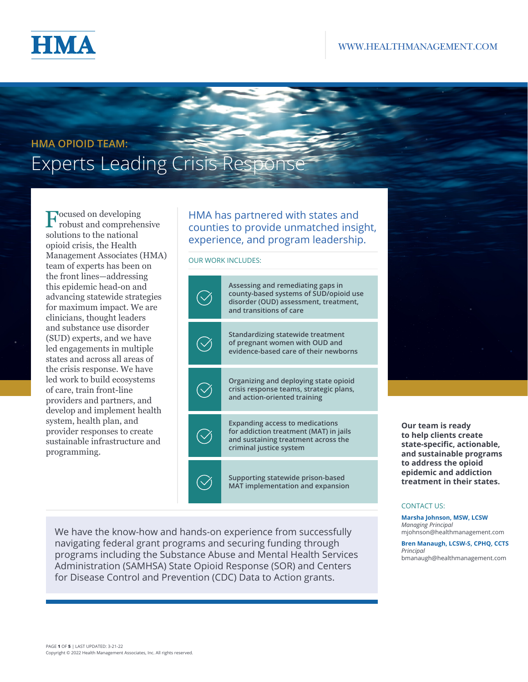

# **HMA OPIOID TEAM:** Experts Leading Crisis Response

**F**ocused on developing robust and comprehensive solutions to the national opioid crisis, the Health Management Associates (HMA) team of experts has been on the front lines—addressing this epidemic head-on and advancing statewide strategies for maximum impact. We are clinicians, thought leaders and substance use disorder (SUD) experts, and we have led engagements in multiple states and across all areas of the crisis response. We have led work to build ecosystems of care, train front-line providers and partners, and develop and implement health system, health plan, and provider responses to create sustainable infrastructure and programming.

HMA has partnered with states and counties to provide unmatched insight, experience, and program leadership.

#### OUR WORK INCLUDES:



We have the know-how and hands-on experience from successfully navigating federal grant programs and securing funding through programs including the Substance Abuse and Mental Health Services Administration (SAMHSA) State Opioid Response (SOR) and Centers for Disease Control and Prevention (CDC) Data to Action grants.

**Our team is ready to help clients create state-specific, actionable, and sustainable programs to address the opioid epidemic and addiction treatment in their states.**

#### CONTACT US:

**Marsha Johnson, MSW, LCSW** *Managing Principal* mjohnson@healthmanagement.com

**Bren Manaugh, LCSW-S, CPHQ, CCTS** *Principal* bmanaugh@healthmanagement.com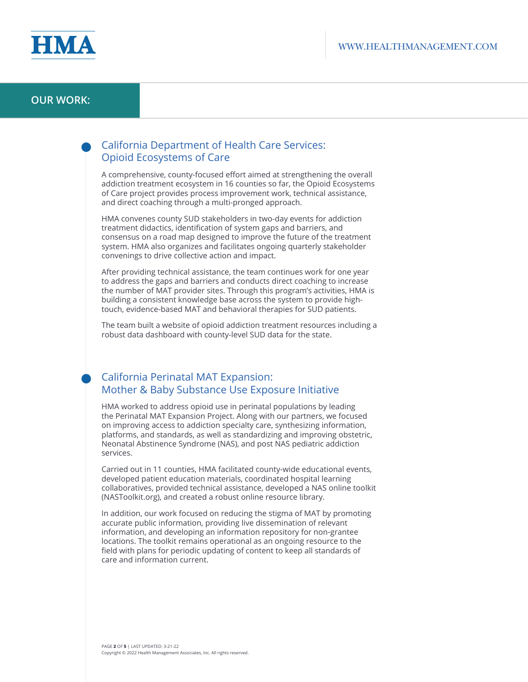

## California Department of Health Care Services: Opioid Ecosystems of Care

A comprehensive, county-focused effort aimed at strengthening the overall addiction treatment ecosystem in 16 counties so far, the Opioid Ecosystems of Care project provides process improvement work, technical assistance, and direct coaching through a multi-pronged approach.

HMA convenes county SUD stakeholders in two-day events for addiction treatment didactics, identification of system gaps and barriers, and consensus on a road map designed to improve the future of the treatment system. HMA also organizes and facilitates ongoing quarterly stakeholder convenings to drive collective action and impact.

After providing technical assistance, the team continues work for one year to address the gaps and barriers and conducts direct coaching to increase the number of MAT provider sites. Through this program's activities, HMA is building a consistent knowledge base across the system to provide hightouch, evidence-based MAT and behavioral therapies for SUD patients.

The team built a website of opioid addiction treatment resources including a robust data dashboard with county-level SUD data for the state.

## California Perinatal MAT Expansion: Mother & Baby Substance Use Exposure Initiative

HMA worked to address opioid use in perinatal populations by leading the Perinatal MAT Expansion Project. Along with our partners, we focused on improving access to addiction specialty care, synthesizing information, platforms, and standards, as well as standardizing and improving obstetric, Neonatal Abstinence Syndrome (NAS), and post NAS pediatric addiction services.

Carried out in 11 counties, HMA facilitated county-wide educational events, developed patient education materials, coordinated hospital learning collaboratives, provided technical assistance, developed a NAS online toolkit (NASToolkit.org), and created a robust online resource library.

In addition, our work focused on reducing the stigma of MAT by promoting accurate public information, providing live dissemination of relevant information, and developing an information repository for non-grantee locations. The toolkit remains operational as an ongoing resource to the field with plans for periodic updating of content to keep all standards of care and information current.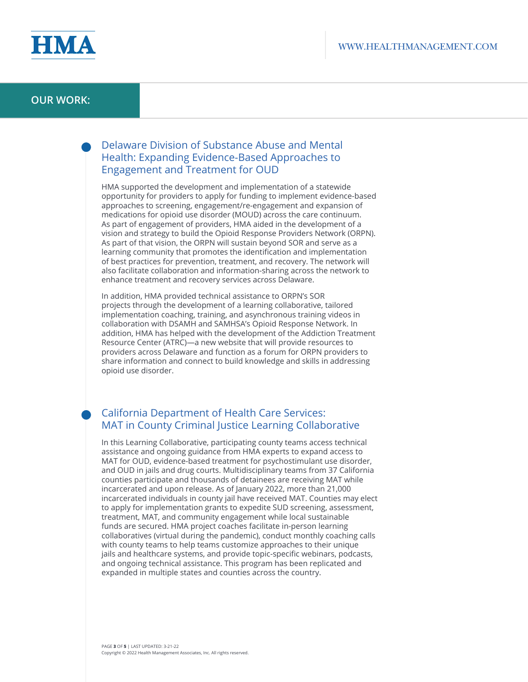

# Delaware Division of Substance Abuse and Mental Health: Expanding Evidence-Based Approaches to Engagement and Treatment for OUD

HMA supported the development and implementation of a statewide opportunity for providers to apply for funding to implement evidence-based approaches to screening, engagement/re-engagement and expansion of medications for opioid use disorder (MOUD) across the care continuum. As part of engagement of providers, HMA aided in the development of a vision and strategy to build the Opioid Response Providers Network (ORPN). As part of that vision, the ORPN will sustain beyond SOR and serve as a learning community that promotes the identification and implementation of best practices for prevention, treatment, and recovery. The network will also facilitate collaboration and information-sharing across the network to enhance treatment and recovery services across Delaware.

In addition, HMA provided technical assistance to ORPN's SOR projects through the development of a learning collaborative, tailored implementation coaching, training, and asynchronous training videos in collaboration with DSAMH and SAMHSA's Opioid Response Network. In addition, HMA has helped with the development of the Addiction Treatment Resource Center (ATRC)—a new website that will provide resources to providers across Delaware and function as a forum for ORPN providers to share information and connect to build knowledge and skills in addressing opioid use disorder.

# California Department of Health Care Services: MAT in County Criminal Justice Learning Collaborative

In this Learning Collaborative, participating county teams access technical assistance and ongoing guidance from HMA experts to expand access to MAT for OUD, evidence-based treatment for psychostimulant use disorder, and OUD in jails and drug courts. Multidisciplinary teams from 37 California counties participate and thousands of detainees are receiving MAT while incarcerated and upon release. As of January 2022, more than 21,000 incarcerated individuals in county jail have received MAT. Counties may elect to apply for implementation grants to expedite SUD screening, assessment, treatment, MAT, and community engagement while local sustainable funds are secured. HMA project coaches facilitate in-person learning collaboratives (virtual during the pandemic), conduct monthly coaching calls with county teams to help teams customize approaches to their unique jails and healthcare systems, and provide topic-specific webinars, podcasts, and ongoing technical assistance. This program has been replicated and expanded in multiple states and counties across the country.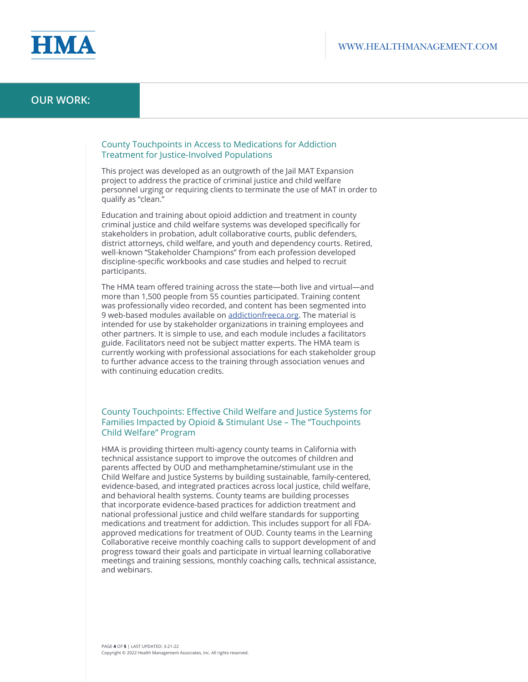

## **OUR WORK:**

#### County Touchpoints in Access to Medications for Addiction Treatment for Justice-Involved Populations

This project was developed as an outgrowth of the Jail MAT Expansion project to address the practice of criminal justice and child welfare personnel urging or requiring clients to terminate the use of MAT in order to qualify as "clean."

Education and training about opioid addiction and treatment in county criminal justice and child welfare systems was developed specifically for stakeholders in probation, adult collaborative courts, public defenders, district attorneys, child welfare, and youth and dependency courts. Retired, well-known "Stakeholder Champions" from each profession developed discipline-specific workbooks and case studies and helped to recruit participants.

The HMA team offered training across the state—both live and virtual—and more than 1,500 people from 55 counties participated. Training content was professionally video recorded, and content has been segmented into 9 web-based modules available on [addictionfreeca.org](https://addictionfreeca.org/). The material is intended for use by stakeholder organizations in training employees and other partners. It is simple to use, and each module includes a facilitators guide. Facilitators need not be subject matter experts. The HMA team is currently working with professional associations for each stakeholder group to further advance access to the training through association venues and with continuing education credits.

### County Touchpoints: Effective Child Welfare and Justice Systems for Families Impacted by Opioid & Stimulant Use – The "Touchpoints Child Welfare" Program

HMA is providing thirteen multi-agency county teams in California with technical assistance support to improve the outcomes of children and parents affected by OUD and methamphetamine/stimulant use in the Child Welfare and Justice Systems by building sustainable, family-centered, evidence-based, and integrated practices across local justice, child welfare, and behavioral health systems. County teams are building processes that incorporate evidence-based practices for addiction treatment and national professional justice and child welfare standards for supporting medications and treatment for addiction. This includes support for all FDAapproved medications for treatment of OUD. County teams in the Learning Collaborative receive monthly coaching calls to support development of and progress toward their goals and participate in virtual learning collaborative meetings and training sessions, monthly coaching calls, technical assistance, and webinars.